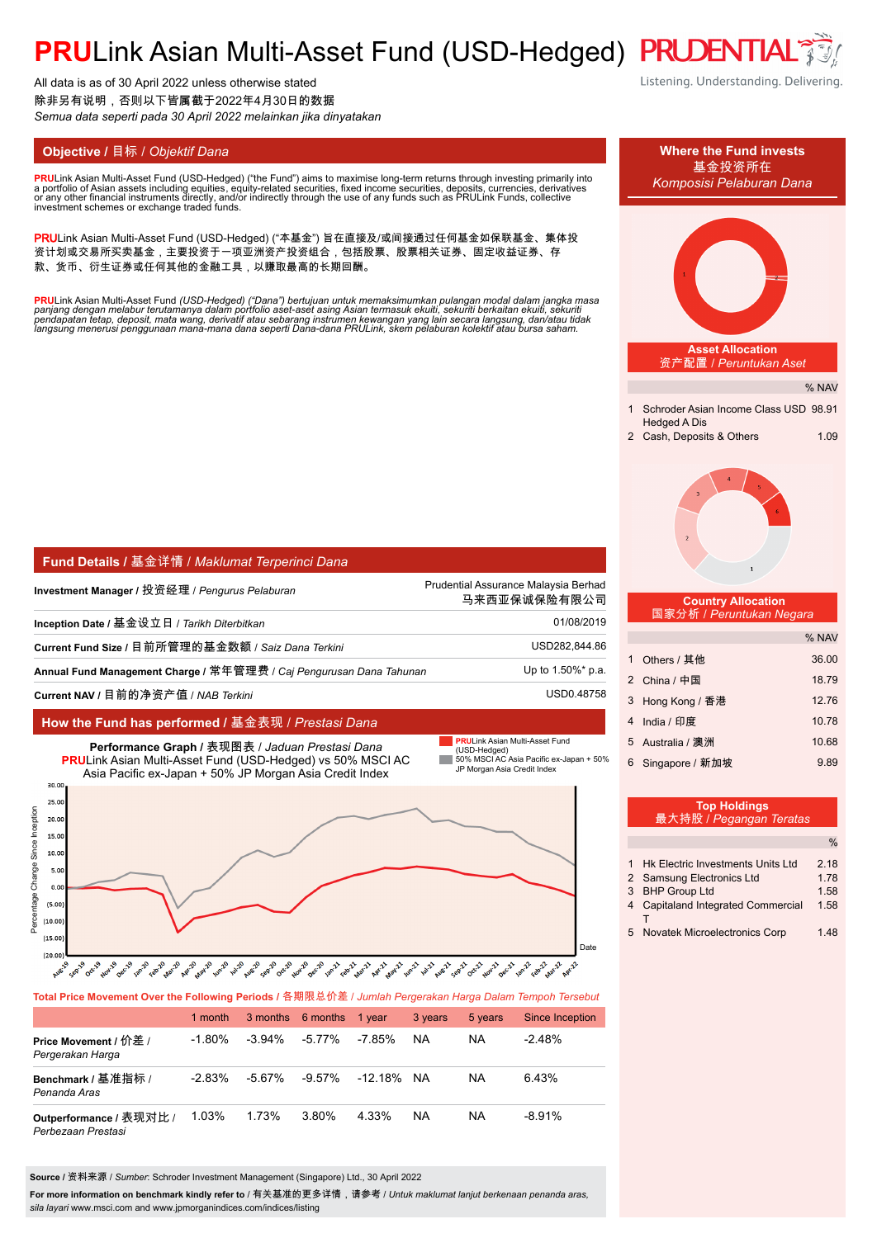# **PRULink Asian Multi-Asset Fund (USD-Hedged) PRUDENTIA**

All data is as of 30 April 2022 unless otherwise stated 除非另有说明,否则以下皆属截于2022年4月30日的数据 *Semua data seperti pada 30 April 2022 melainkan jika dinyatakan*

**PRU**Link Asian Multi-Asset Fund (USD-Hedged) ("the Fund") aims to maximise long-term returns through investing primarily into<br>a nortfolio of Asian assets including equities, equity-related securities, fixed income securit a portfolio of Asian assets including equities, equity-related securities, fixed income securities, deposits, currencies, derivatives<br>or any other financial instruments directly, and/or indirectly through the use of any fu

PRULink Asian Multi-Asset Fund (USD-Hedged) ("本基金") 旨在直接及/或间接通过任何基金如保联基金、集体投 资计划或交易所买卖基金,主要投资于一项亚洲资产投资组合,包括股票、股票相关证券、固定收益证券、存 款、货币、衍生证券或任何其他的金融工具,以赚取最高的长期回酬。

<mark>PRU</mark>Link Asian Multi-Asset Fund (USD-Hedged) ("Dana") bertujuan untuk memaksimumkan pulangan modal dalam jangka masa<br>panjang dengan melabur terutamanya dalam portfolio aset-aset asing Asian termasuk ekuiti, sekuriti berka

| Fund Details / 基金详情 / Maklumat Terperinci Dana                       |                                                      |  |  |
|----------------------------------------------------------------------|------------------------------------------------------|--|--|
| Investment Manager / 投资经理 / <i>Penqurus Pelaburan</i>                | Prudential Assurance Malaysia Berhad<br>马来西亚保诚保险有限公司 |  |  |
| Inception Date / 基金设立日 / <i>Tarikh Diterbitkan</i>                   | 01/08/2019                                           |  |  |
| Current Fund Size / 目前所管理的基金数额 / Saiz Dana Terkini                   | USD282,844.86                                        |  |  |
| Annual Fund Management Charge / 常年管理费 / Caj Pengurusan Dana Tahunan_ | Up to 1.50%* p.a.                                    |  |  |
| Current NAV / 目前的净资产值 / NAB Terkini                                  | USD0.48758                                           |  |  |

### **How the Fund has performed /** 基金表现 / *Prestasi Dana*



### **Total Price Movement Over the Following Periods /** 各期限总价差 / *Jumlah Pergerakan Harga Dalam Tempoh Tersebut*

|                                               | 1 month   |           | 3 months 6 months | 1 vear  | 3 years   | 5 years   | Since Inception |
|-----------------------------------------------|-----------|-----------|-------------------|---------|-----------|-----------|-----------------|
| Price Movement / 价差 /<br>Pergerakan Harga     | $-1.80\%$ | $-3.94\%$ | $-5.77\%$         | -7.85%  | <b>NA</b> | NA        | $-2.48\%$       |
| Benchmark / 基准指标 /<br>Penanda Aras            | $-2.83%$  | $-5.67\%$ | -9.57%            | -12.18% | NA.       | <b>NA</b> | 6.43%           |
| Outperformance / 表现对比 /<br>Perbezaan Prestasi | 1.03%     | 1.73%     | 3.80%             | 4.33%   | <b>NA</b> | NA        | $-8.91%$        |

**Source /** 资料来源 / *Sumber*: Schroder Investment Management (Singapore) Ltd., 30 April 2022

For more information on benchmark kindly refer to / 有关基准的更多详情,请参考 / *Untuk maklumat lanjut berkenaan penanda aras*, *sila layari* www.msci.com and www.jpmorganindices.com/indices/listing

Listening. Understanding. Delivering.

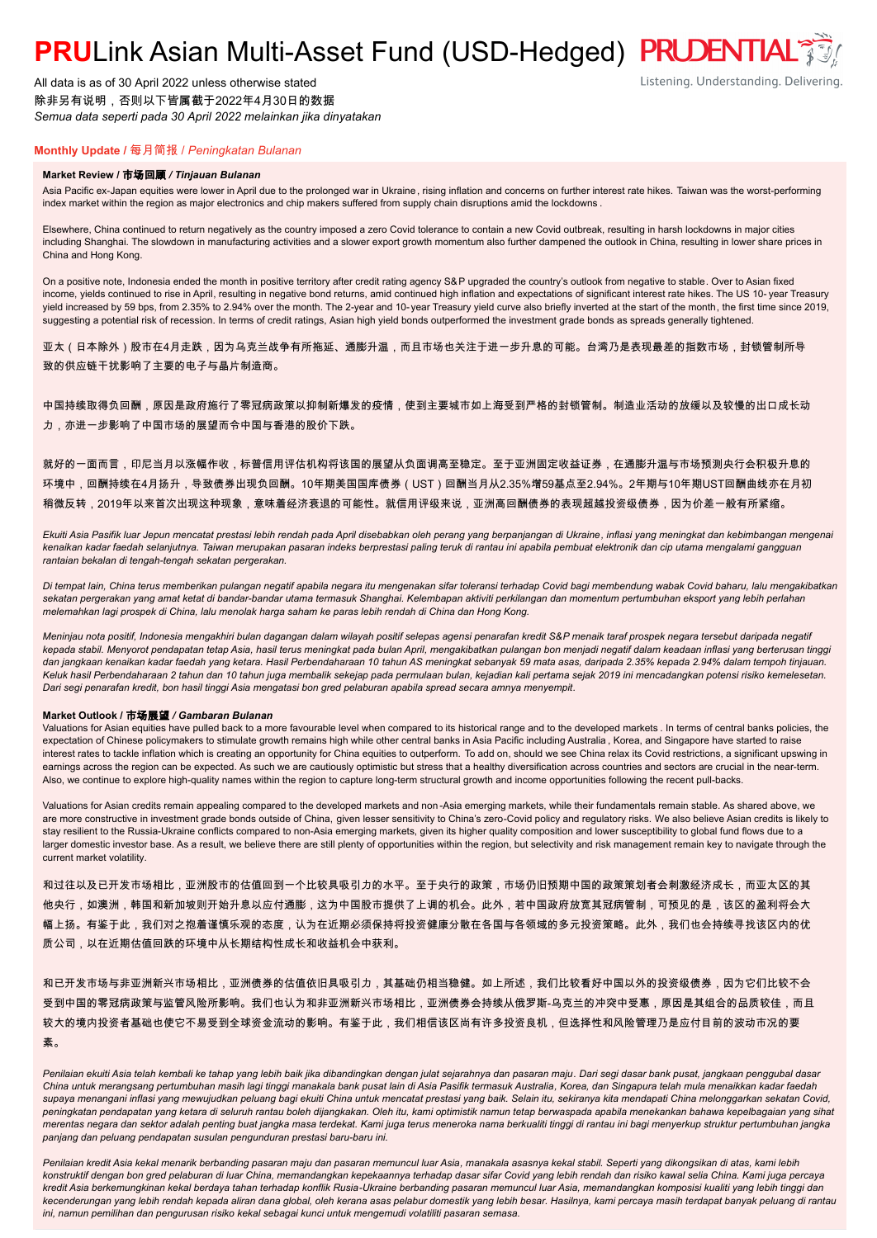# **PRULink Asian Multi-Asset Fund (USD-Hedged) PRUDENTIAL<sup>7</sup>**

All data is as of 30 April 2022 unless otherwise stated 除非另有说明,否则以下皆属截于2022年4月30日的数据 *Semua data seperti pada 30 April 2022 melainkan jika dinyatakan*

# Listening. Understanding. Delivering.

## **Monthly Update /** 每月简报 / *Peningkatan Bulanan*

### **Market Review /** 市场回顾 */ Tinjauan Bulanan*

Asia Pacific ex-Japan equities were lower in April due to the prolonged war in Ukraine, rising inflation and concerns on further interest rate hikes. Taiwan was the worst-performing index market within the region as major electronics and chip makers suffered from supply chain disruptions amid the lockdowns .

Elsewhere, China continued to return negatively as the country imposed a zero Covid tolerance to contain a new Covid outbreak, resulting in harsh lockdowns in major cities including Shanghai. The slowdown in manufacturing activities and a slower export growth momentum also further dampened the outlook in China, resulting in lower share prices in China and Hong Kong.

On a positive note, Indonesia ended the month in positive territory after credit rating agency S&P upgraded the country's outlook from negative to stable. Over to Asian fixed income, yields continued to rise in April, resulting in negative bond returns, amid continued high inflation and expectations of significant interest rate hikes. The US 10- year Treasury yield increased by 59 bps, from 2.35% to 2.94% over the month. The 2-year and 10-year Treasury yield curve also briefly inverted at the start of the month, the first time since 2019, suggesting a potential risk of recession. In terms of credit ratings, Asian high yield bonds outperformed the investment grade bonds as spreads generally tightened.

亚太(日本除外)股市在4月走跌,因为乌克兰战争有所拖延、通膨升温,而且市场也关注于进一步升息的可能。台湾乃是表现最差的指数市场,封锁管制所导 致的供应链干扰影响了主要的电子与晶片制造商。

中国持续取得负回酬,原因是政府施行了零冠病政策以抑制新爆发的疫情,使到主要城市如上海受到严格的封锁管制。制造业活动的放缓以及较慢的出口成长动 力,亦进一步影响了中国市场的展望而令中国与香港的股价下跌。

就好的一面而言,印尼当月以涨幅作收,标普信用评估机构将该国的展望从负面调高至稳定。至于亚洲固定收益证券,在通膨升温与市场预测央行会积极升息的 环境中,回酬持续在4月扬升,导致债券出现负回酬。10年期美国国库债券(UST)回酬当月从2.35%增59基点至2.94%。2年期与10年期UST回酬曲线亦在月初 稍微反转,2019年以来首次出现这种现象,意味着经济衰退的可能性。就信用评级来说,亚洲高回酬债券的表现超越投资级债券,因为价差一般有所紧缩。

*Ekuiti Asia Pasifik luar Jepun mencatat prestasi lebih rendah pada April disebabkan oleh perang yang berpanjangan di Ukraine, inflasi yang meningkat dan kebimbangan mengenai kenaikan kadar faedah selanjutnya. Taiwan merupakan pasaran indeks berprestasi paling teruk di rantau ini apabila pembuat elektronik dan cip utama mengalami gangguan rantaian bekalan di tengah-tengah sekatan pergerakan.*

*Di tempat lain, China terus memberikan pulangan negatif apabila negara itu mengenakan sifar toleransi terhadap Covid bagi membendung wabak Covid baharu, lalu mengakibatkan sekatan pergerakan yang amat ketat di bandar-bandar utama termasuk Shanghai. Kelembapan aktiviti perkilangan dan momentum pertumbuhan eksport yang lebih perlahan melemahkan lagi prospek di China, lalu menolak harga saham ke paras lebih rendah di China dan Hong Kong.*

*Meninjau nota positif, Indonesia mengakhiri bulan dagangan dalam wilayah positif selepas agensi penarafan kredit S&P menaik taraf prospek negara tersebut daripada negatif kepada stabil. Menyorot pendapatan tetap Asia, hasil terus meningkat pada bulan April, mengakibatkan pulangan bon menjadi negatif dalam keadaan inflasi yang berterusan tinggi dan jangkaan kenaikan kadar faedah yang ketara. Hasil Perbendaharaan 10 tahun AS meningkat sebanyak 59 mata asas, daripada 2.35% kepada 2.94% dalam tempoh tinjauan. Keluk hasil Perbendaharaan 2 tahun dan 10 tahun juga membalik sekejap pada permulaan bulan, kejadian kali pertama sejak 2019 ini mencadangkan potensi risiko kemelesetan. Dari segi penarafan kredit, bon hasil tinggi Asia mengatasi bon gred pelaburan apabila spread secara amnya menyempit.*

### **Market Outlook /** 市场展望 */ Gambaran Bulanan*

Valuations for Asian equities have pulled back to a more favourable level when compared to its historical range and to the developed markets . In terms of central banks policies, the expectation of Chinese policymakers to stimulate growth remains high while other central banks in Asia Pacific including Australia , Korea, and Singapore have started to raise interest rates to tackle inflation which is creating an opportunity for China equities to outperform. To add on, should we see China relax its Covid restrictions, a significant upswing in earnings across the region can be expected. As such we are cautiously optimistic but stress that a healthy diversification across countries and sectors are crucial in the near-term. Also, we continue to explore high-quality names within the region to capture long-term structural growth and income opportunities following the recent pull-backs.

Valuations for Asian credits remain appealing compared to the developed markets and non -Asia emerging markets, while their fundamentals remain stable. As shared above, we are more constructive in investment grade bonds outside of China, given lesser sensitivity to China's zero-Covid policy and regulatory risks. We also believe Asian credits is likely to stay resilient to the Russia-Ukraine conflicts compared to non-Asia emerging markets, given its higher quality composition and lower susceptibility to global fund flows due to a larger domestic investor base. As a result, we believe there are still plenty of opportunities within the region, but selectivity and risk management remain key to navigate through the current market volatility.

和过往以及已开发市场相比,亚洲股市的估值回到一个比较具吸引力的水平。至于央行的政策,市场仍旧预期中国的政策策划者会刺激经济成长,而亚太区的其 他央行,如澳洲,韩国和新加坡则开始升息以应付通膨,这为中国股市提供了上调的机会。此外,若中国政府放宽其冠病管制,可预见的是,该区的盈利将会大 幅上扬。有鉴于此,我们对之抱着谨慎乐观的态度,认为在近期必须保持将投资健康分散在各国与各领域的多元投资策略。此外,我们也会持续寻找该区内的优 质公司,以在近期估值回跌的环境中从长期结构性成长和收益机会中获利。

和已开发市场与非亚洲新兴市场相比,亚洲债券的估值依旧具吸引力,其基础仍相当稳健。如上所述,我们比较看好中国以外的投资级债券,因为它们比较不会 受到中国的零冠病政策与监管风险所影响。我们也认为和非亚洲新兴市场相比,亚洲债券会持续从俄罗斯-乌克兰的冲突中受惠,原因是其组合的品质较佳,而且 较大的境内投资者基础也使它不易受到全球资金流动的影响。有鉴于此,我们相信该区尚有许多投资良机,但选择性和风险管理乃是应付目前的波动市况的要 素。

Penilaian ekuiti Asia telah kembali ke tahap yang lebih baik jika dibandingkan dengan julat sejarahnya dan pasaran maju. Dari segi dasar bank pusat, jangkaan penggubal dasar *China untuk merangsang pertumbuhan masih lagi tinggi manakala bank pusat lain di Asia Pasifik termasuk Australia, Korea, dan Singapura telah mula menaikkan kadar faedah supaya menangani inflasi yang mewujudkan peluang bagi ekuiti China untuk mencatat prestasi yang baik. Selain itu, sekiranya kita mendapati China melonggarkan sekatan Covid, peningkatan pendapatan yang ketara di seluruh rantau boleh dijangkakan. Oleh itu, kami optimistik namun tetap berwaspada apabila menekankan bahawa kepelbagaian yang sihat merentas negara dan sektor adalah penting buat jangka masa terdekat. Kami juga terus meneroka nama berkualiti tinggi di rantau ini bagi menyerkup struktur pertumbuhan jangka panjang dan peluang pendapatan susulan pengunduran prestasi baru-baru ini.*

*Penilaian kredit Asia kekal menarik berbanding pasaran maju dan pasaran memuncul luar Asia, manakala asasnya kekal stabil. Seperti yang dikongsikan di atas, kami lebih konstruktif dengan bon gred pelaburan di luar China, memandangkan kepekaannya terhadap dasar sifar Covid yang lebih rendah dan risiko kawal selia China. Kami juga percaya kredit Asia berkemungkinan kekal berdaya tahan terhadap konflik Rusia-Ukraine berbanding pasaran memuncul luar Asia, memandangkan komposisi kualiti yang lebih tinggi dan kecenderungan yang lebih rendah kepada aliran dana global, oleh kerana asas pelabur domestik yang lebih besar. Hasilnya, kami percaya masih terdapat banyak peluang di rantau ini, namun pemilihan dan pengurusan risiko kekal sebagai kunci untuk mengemudi volatiliti pasaran semasa.*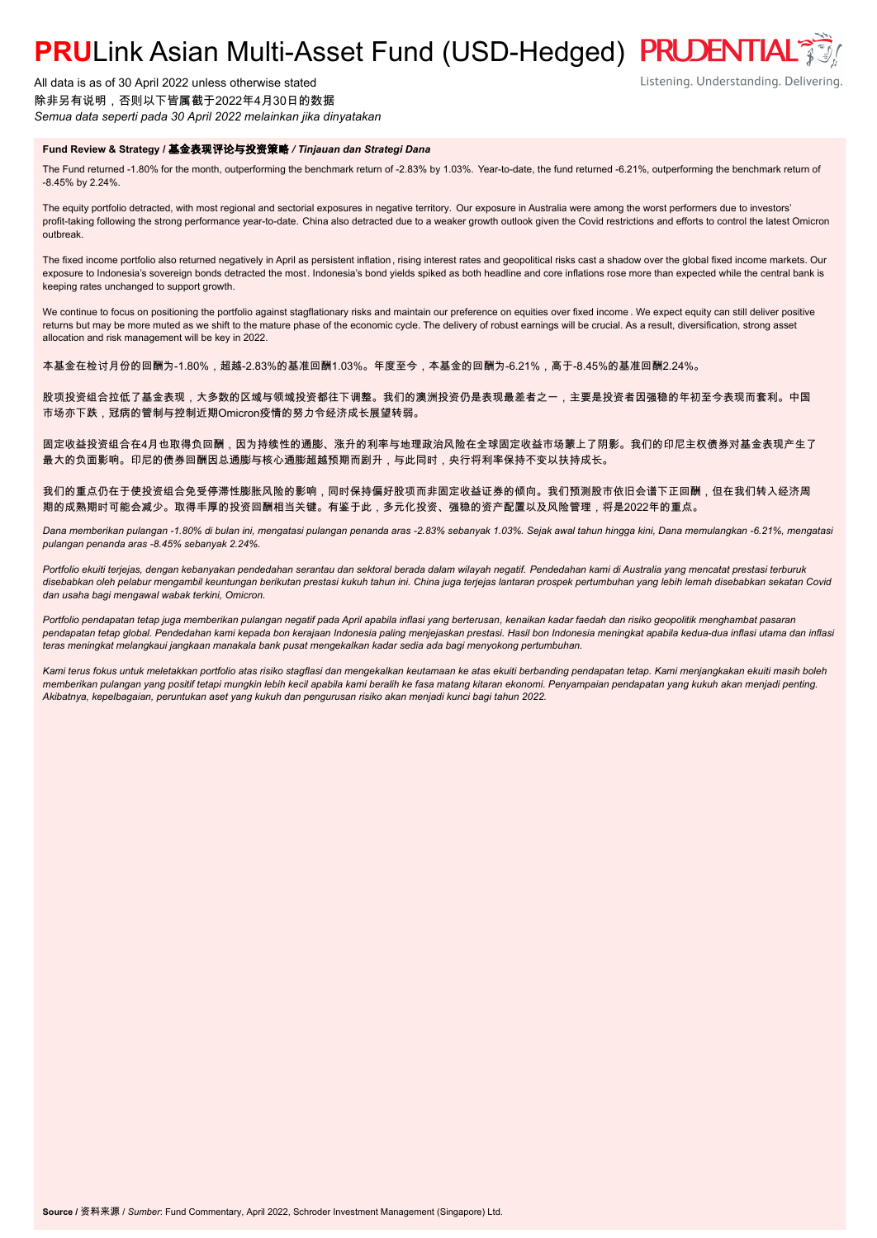# **PRULink Asian Multi-Asset Fund (USD-Hedged) PRUDENTIAL<sup>®</sup>**

All data is as of 30 April 2022 unless otherwise stated 除非另有说明,否则以下皆属截于2022年4月30日的数据 *Semua data seperti pada 30 April 2022 melainkan jika dinyatakan*

### **Fund Review & Strategy /** 基金表现评论与投资策略 */ Tinjauan dan Strategi Dana*

The Fund returned -1.80% for the month, outperforming the benchmark return of -2.83% by 1.03%. Year-to-date, the fund returned -6.21%, outperforming the benchmark return of -8.45% by 2.24%.

Listening. Understanding. Delivering.

The equity portfolio detracted, with most regional and sectorial exposures in negative territory. Our exposure in Australia were among the worst performers due to investors' profit-taking following the strong performance year-to-date. China also detracted due to a weaker growth outlook given the Covid restrictions and efforts to control the latest Omicron outbreak.

The fixed income portfolio also returned negatively in April as persistent inflation, rising interest rates and geopolitical risks cast a shadow over the global fixed income markets. Our exposure to Indonesia's sovereign bonds detracted the most. Indonesia's bond yields spiked as both headline and core inflations rose more than expected while the central bank is keeping rates unchanged to support growth.

We continue to focus on positioning the portfolio against stagflationary risks and maintain our preference on equities over fixed income . We expect equity can still deliver positive returns but may be more muted as we shift to the mature phase of the economic cycle. The delivery of robust earnings will be crucial. As a result, diversification, strong asset allocation and risk management will be key in 2022.

本基金在检讨月份的回酬为-1.80%,超越-2.83%的基准回酬1.03%。年度至今,本基金的回酬为-6.21%,高于-8.45%的基准回酬2.24%。

股项投资组合拉低了基金表现,大多数的区域与领域投资都往下调整。我们的澳洲投资仍是表现最差者之一,主要是投资者因强稳的年初至今表现而套利。中国 市场亦下跌,冠病的管制与控制近期Omicron疫情的努力令经济成长展望转弱。

固定收益投资组合在4月也取得负回酬,因为持续性的通膨、涨升的利率与地理政治风险在全球固定收益市场蒙上了阴影。我们的印尼主权债券对基金表现产生了 最大的负面影响。印尼的债券回酬因总通膨与核心通膨超越预期而剧升,与此同时,央行将利率保持不变以扶持成长。

我们的重点仍在于使投资组合免受停滞性膨胀风险的影响,同时保持偏好股项而非固定收益证券的倾向。我们预测股市依旧会谱下正回酬,但在我们转入经济周 期的成熟期时可能会减少。取得丰厚的投资回酬相当关键。有鉴于此,多元化投资、强稳的资产配置以及风险管理,将是2022年的重点。

*Dana memberikan pulangan -1.80% di bulan ini, mengatasi pulangan penanda aras -2.83% sebanyak 1.03%. Sejak awal tahun hingga kini, Dana memulangkan -6.21%, mengatasi pulangan penanda aras -8.45% sebanyak 2.24%.*

*Portfolio ekuiti terjejas, dengan kebanyakan pendedahan serantau dan sektoral berada dalam wilayah negatif. Pendedahan kami di Australia yang mencatat prestasi terburuk disebabkan oleh pelabur mengambil keuntungan berikutan prestasi kukuh tahun ini. China juga terjejas lantaran prospek pertumbuhan yang lebih lemah disebabkan sekatan Covid dan usaha bagi mengawal wabak terkini, Omicron.*

*Portfolio pendapatan tetap juga memberikan pulangan negatif pada April apabila inflasi yang berterusan, kenaikan kadar faedah dan risiko geopolitik menghambat pasaran pendapatan tetap global. Pendedahan kami kepada bon kerajaan Indonesia paling menjejaskan prestasi. Hasil bon Indonesia meningkat apabila kedua-dua inflasi utama dan inflasi teras meningkat melangkaui jangkaan manakala bank pusat mengekalkan kadar sedia ada bagi menyokong pertumbuhan.*

*Kami terus fokus untuk meletakkan portfolio atas risiko stagflasi dan mengekalkan keutamaan ke atas ekuiti berbanding pendapatan tetap. Kami menjangkakan ekuiti masih boleh memberikan pulangan yang positif tetapi mungkin lebih kecil apabila kami beralih ke fasa matang kitaran ekonomi. Penyampaian pendapatan yang kukuh akan menjadi penting. Akibatnya, kepelbagaian, peruntukan aset yang kukuh dan pengurusan risiko akan menjadi kunci bagi tahun 2022.*